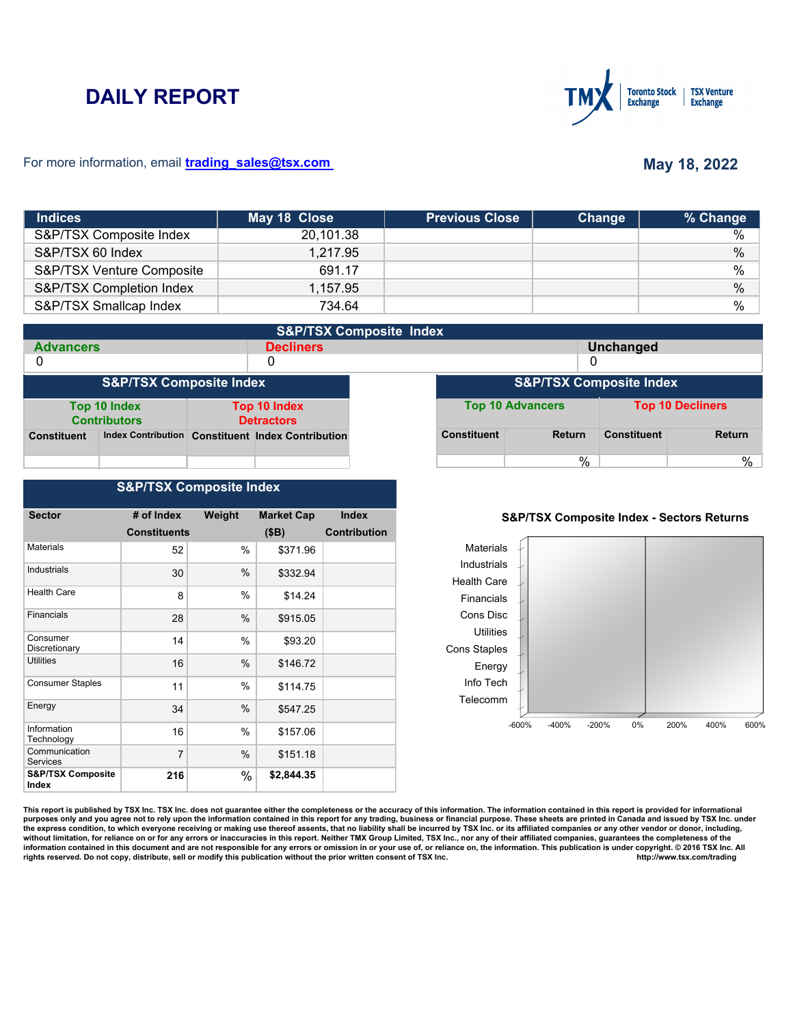# **DAILY REPORT**



### For more information, email **trading\_sales@tsx.com**

## **May 18, 2022**

| <b>Indices</b>            | May 18 Close | <b>Previous Close</b> | Change | % Change      |
|---------------------------|--------------|-----------------------|--------|---------------|
| S&P/TSX Composite Index   | 20,101.38    |                       |        | $\%$          |
| S&P/TSX 60 Index          | 1,217.95     |                       |        | $\%$          |
| S&P/TSX Venture Composite | 691.17       |                       |        | $\%$          |
| S&P/TSX Completion Index  | 1,157.95     |                       |        | $\frac{0}{0}$ |
| S&P/TSX Smallcap Index    | 734.64       |                       |        | %             |

|                    | <b>S&amp;P/TSX Composite Index</b>  |                                          |                                                   |  |                         |                                    |                    |                         |
|--------------------|-------------------------------------|------------------------------------------|---------------------------------------------------|--|-------------------------|------------------------------------|--------------------|-------------------------|
| <b>Advancers</b>   |                                     | <b>Decliners</b>                         |                                                   |  |                         | <b>Unchanged</b>                   |                    |                         |
| 0                  |                                     |                                          | 0                                                 |  | 0                       |                                    |                    |                         |
|                    | <b>S&amp;P/TSX Composite Index</b>  |                                          |                                                   |  |                         | <b>S&amp;P/TSX Composite Index</b> |                    |                         |
|                    | Top 10 Index<br><b>Contributors</b> | <b>Top 10 Index</b><br><b>Detractors</b> |                                                   |  | <b>Top 10 Advancers</b> |                                    |                    | <b>Top 10 Decliners</b> |
| <b>Constituent</b> |                                     |                                          | Index Contribution Constituent Index Contribution |  | <b>Constituent</b>      | <b>Return</b>                      | <b>Constituent</b> | <b>Return</b>           |
|                    |                                     |                                          |                                                   |  |                         | $\%$                               |                    | %                       |

## **S&P/TSX Composite Index**

| <b>Sector</b>                         | # of Index          | Weight | <b>Market Cap</b> | <b>Index</b>        |
|---------------------------------------|---------------------|--------|-------------------|---------------------|
|                                       | <b>Constituents</b> |        |                   | <b>Contribution</b> |
|                                       |                     |        | (SB)              |                     |
| <b>Materials</b>                      | 52                  | $\%$   | \$371.96          |                     |
| <b>Industrials</b>                    | 30                  | $\%$   | \$332.94          |                     |
| <b>Health Care</b>                    | 8                   | $\%$   | \$14.24           |                     |
| Financials                            | 28                  | $\%$   | \$915.05          |                     |
| Consumer<br>Discretionary             | 14                  | %      | \$93.20           |                     |
| <b>Utilities</b>                      | 16                  | $\%$   | \$146.72          |                     |
| <b>Consumer Staples</b>               | 11                  | $\%$   | \$114.75          |                     |
| Energy                                | 34                  | %      | \$547.25          |                     |
| Information<br>Technology             | 16                  | %      | \$157.06          |                     |
| Communication<br><b>Services</b>      | 7                   | %      | \$151.18          |                     |
| <b>S&amp;P/TSX Composite</b><br>Index | 216                 | %      | \$2,844.35        |                     |

## **S&P/TSX Composite Index - Sectors Returns**



This report is published by TSX Inc. TSX Inc. does not guarantee either the completeness or the accuracy of this information. The information contained in this report is provided for informational **purposes only and you agree not to rely upon the information contained in this report for any trading, business or financial purpose. These sheets are printed in Canada and issued by TSX Inc. under**  the express condition, to which everyone receiving or making use thereof assents, that no liability shall be incurred by TSX Inc. or its affiliated companies or any other vendor or donor, including,<br>without limitation, for information contained in this document and are not responsible for any errors or omission in or your use of, or reliance on, the information. This publication is under copyright. © 2016 TSX Inc. All <br>
rights reserved. Do n rights reserved. Do not copy, distribute, sell or modify this publication without the prior written consent of TSX Inc.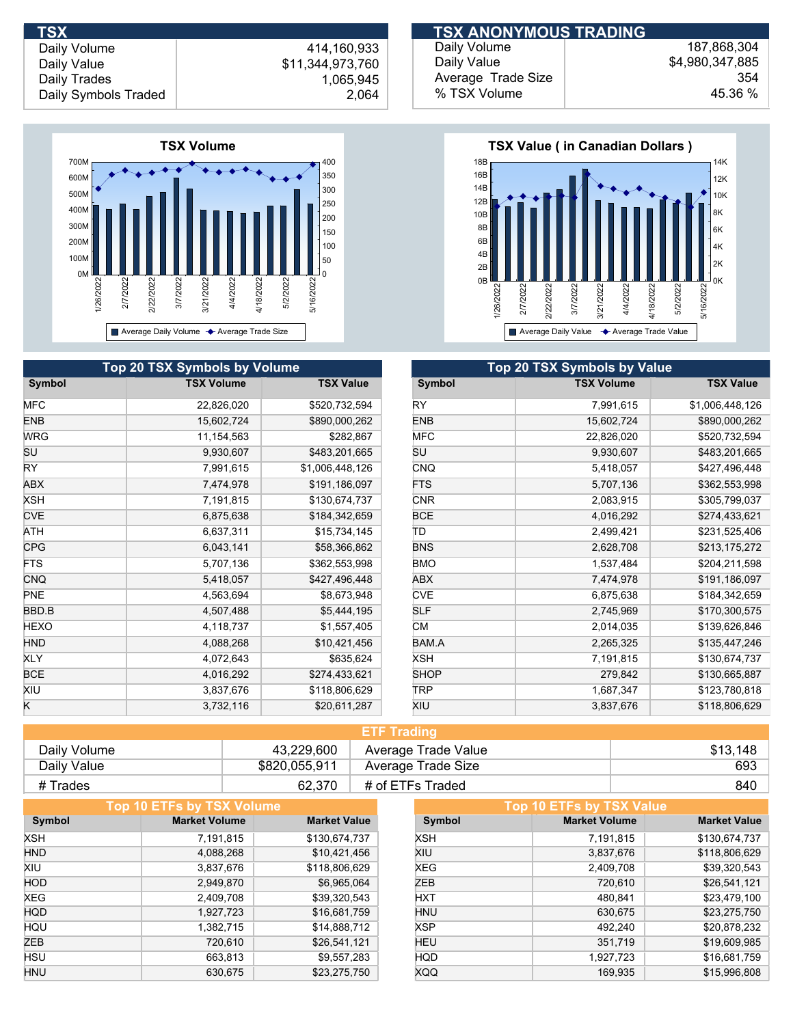Daily Volume Daily Value Daily Trades

## 414,160,933 \$11,344,973,760 1,065,945 Daily Symbols Traded 2,064



| <b>Top 20 TSX Symbols by Volume</b> |                   |                  |             | <b>Top 20 TSX Symbols by Value</b> |
|-------------------------------------|-------------------|------------------|-------------|------------------------------------|
| Symbol                              | <b>TSX Volume</b> | <b>TSX Value</b> | Symbol      | <b>TSX Volume</b>                  |
| MFC                                 | 22,826,020        | \$520,732,594    | RY.         | 7,991,615                          |
| <b>ENB</b>                          | 15,602,724        | \$890,000,262    | <b>ENB</b>  | 15,602,724                         |
| <b>WRG</b>                          | 11,154,563        | \$282,867        | <b>MFC</b>  | 22,826,020                         |
| SU                                  | 9,930,607         | \$483,201,665    | SU          | 9,930,607                          |
| RY.                                 | 7,991,615         | \$1,006,448,126  | <b>CNQ</b>  | 5,418,057                          |
| ABX                                 | 7,474,978         | \$191,186,097    | <b>FTS</b>  | 5,707,136                          |
| <b>XSH</b>                          | 7,191,815         | \$130,674,737    | <b>CNR</b>  | 2,083,915                          |
| <b>CVE</b>                          | 6,875,638         | \$184,342,659    | <b>BCE</b>  | 4,016,292                          |
| ATH                                 | 6,637,311         | \$15,734,145     | ΙD          | 2,499,421                          |
| <b>CPG</b>                          | 6,043,141         | \$58,366,862     | <b>BNS</b>  | 2,628,708                          |
| <b>FTS</b>                          | 5,707,136         | \$362,553,998    | <b>BMO</b>  | 1,537,484                          |
| <b>CNQ</b>                          | 5,418,057         | \$427,496,448    | ABX         | 7,474,978                          |
| PNE                                 | 4,563,694         | \$8,673,948      | <b>CVE</b>  | 6,875,638                          |
| BBD.B                               | 4,507,488         | \$5,444,195      | <b>SLF</b>  | 2,745,969                          |
| <b>HEXO</b>                         | 4,118,737         | \$1,557,405      | <b>CM</b>   | 2,014,035                          |
| <b>HND</b>                          | 4,088,268         | \$10,421,456     | BAM.A       | 2,265,325                          |
| <b>XLY</b>                          | 4,072,643         | \$635,624        | <b>XSH</b>  | 7,191,815                          |
| <b>BCE</b>                          | 4,016,292         | \$274,433,621    | <b>SHOP</b> | 279,842                            |
| XIU                                 | 3,837,676         | \$118,806,629    | <b>TRP</b>  | 1,687,347                          |
| K                                   | 3,732,116         | \$20,611,287     | XIU         | 3,837,676                          |

#### Daily Volume Daily Value Average Trade Size % TSX Volume 187,868,304 \$4,980,347,885 354 45.36 % **TSX ANONYMOUS TRADING**



| <b>Top 20 TSX Symbols by Value</b> |                   |                  |  |  |
|------------------------------------|-------------------|------------------|--|--|
| Symbol                             | <b>TSX Volume</b> | <b>TSX Value</b> |  |  |
| RY                                 | 7,991,615         | \$1,006,448,126  |  |  |
| <b>ENB</b>                         | 15,602,724        | \$890,000,262    |  |  |
| <b>MFC</b>                         | 22,826,020        | \$520,732,594    |  |  |
| SU                                 | 9,930,607         | \$483,201,665    |  |  |
| <b>CNQ</b>                         | 5,418,057         | \$427,496,448    |  |  |
| <b>FTS</b>                         | 5,707,136         | \$362,553,998    |  |  |
| <b>CNR</b>                         | 2,083,915         | \$305,799,037    |  |  |
| <b>BCE</b>                         | 4,016,292         | \$274,433,621    |  |  |
| ΠD                                 | 2,499,421         | \$231,525,406    |  |  |
| <b>BNS</b>                         | 2,628,708         | \$213,175,272    |  |  |
| <b>BMO</b>                         | 1,537,484         | \$204,211,598    |  |  |
| <b>ABX</b>                         | 7,474,978         | \$191,186,097    |  |  |
| <b>CVE</b>                         | 6,875,638         | \$184,342,659    |  |  |
| SLF                                | 2,745,969         | \$170,300,575    |  |  |
| СM                                 | 2,014,035         | \$139,626,846    |  |  |
| BAM.A                              | 2,265,325         | \$135,447,246    |  |  |
| XSH                                | 7,191,815         | \$130,674,737    |  |  |
| <b>SHOP</b>                        | 279,842           | \$130,665,887    |  |  |
| TRP                                | 1,687,347         | \$123,780,818    |  |  |
| XIU                                | 3,837,676         | \$118,806,629    |  |  |

| <b>ETF Trading</b> |               |                     |          |  |
|--------------------|---------------|---------------------|----------|--|
| Daily Volume       | 43,229,600    | Average Trade Value | \$13,148 |  |
| Daily Value        | \$820,055,911 | Average Trade Size  | 693      |  |
| # Trades           | 62.370        | # of ETFs Traded    | 840      |  |

| Top 10 ETFs by TSX Volume |                      |                     |            | Top 10 ETFs by TSX Value |                     |
|---------------------------|----------------------|---------------------|------------|--------------------------|---------------------|
| Symbol                    | <b>Market Volume</b> | <b>Market Value</b> | Symbol     | <b>Market Volume</b>     | <b>Market Value</b> |
| XSH                       | 7,191,815            | \$130,674,737       | XSH        | 7,191,815                | \$130,674,737       |
| <b>HND</b>                | 4,088,268            | \$10,421,456        | XIU        | 3,837,676                | \$118,806,629       |
| XIU                       | 3,837,676            | \$118,806,629       | XEG        | 2,409,708                | \$39,320,543        |
| <b>HOD</b>                | 2,949,870            | \$6,965,064         | ZEB        | 720,610                  | \$26,541,121        |
| XEG                       | 2,409,708            | \$39,320,543        | <b>HXT</b> | 480,841                  | \$23,479,100        |
| <b>HQD</b>                | 1,927,723            | \$16,681,759        | <b>HNU</b> | 630,675                  | \$23,275,750        |
| HQU                       | 1,382,715            | \$14,888,712        | <b>XSP</b> | 492,240                  | \$20,878,232        |
| ZEB                       | 720,610              | \$26,541,121        | <b>HEU</b> | 351,719                  | \$19,609,985        |
| HSU                       | 663,813              | \$9,557,283         | <b>HQD</b> | 1,927,723                | \$16,681,759        |
| HNU                       | 630.675              | \$23,275,750        | <b>XQQ</b> | 169,935                  | \$15,996,808        |